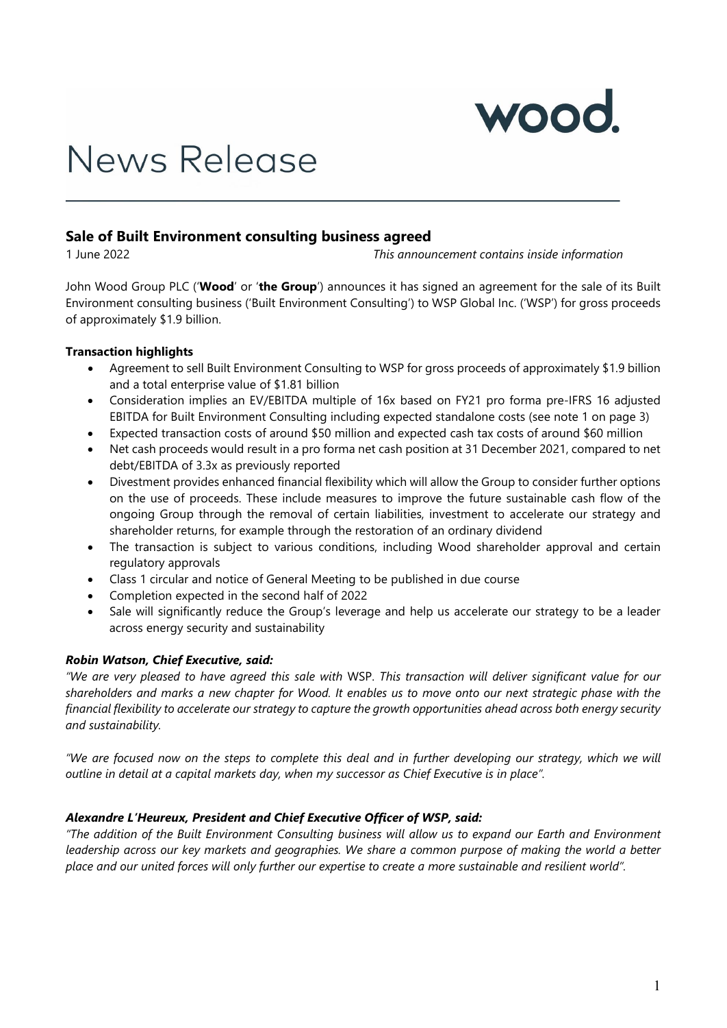

# News Release

# **Sale of Built Environment consulting business agreed**

1 June 2022 *This announcement contains inside information*

John Wood Group PLC ('**Wood**' or '**the Group**') announces it has signed an agreement for the sale of its Built Environment consulting business ('Built Environment Consulting') to WSP Global Inc. ('WSP') for gross proceeds of approximately \$1.9 billion.

# **Transaction highlights**

- Agreement to sell Built Environment Consulting to WSP for gross proceeds of approximately \$1.9 billion and a total enterprise value of \$1.81 billion
- Consideration implies an EV/EBITDA multiple of 16x based on FY21 pro forma pre-IFRS 16 adjusted EBITDA for Built Environment Consulting including expected standalone costs (see note 1 on page 3)
- Expected transaction costs of around \$50 million and expected cash tax costs of around \$60 million
- Net cash proceeds would result in a pro forma net cash position at 31 December 2021, compared to net debt/EBITDA of 3.3x as previously reported
- Divestment provides enhanced financial flexibility which will allow the Group to consider further options on the use of proceeds. These include measures to improve the future sustainable cash flow of the ongoing Group through the removal of certain liabilities, investment to accelerate our strategy and shareholder returns, for example through the restoration of an ordinary dividend
- The transaction is subject to various conditions, including Wood shareholder approval and certain regulatory approvals
- Class 1 circular and notice of General Meeting to be published in due course
- Completion expected in the second half of 2022
- Sale will significantly reduce the Group's leverage and help us accelerate our strategy to be a leader across energy security and sustainability

# *Robin Watson, Chief Executive, said:*

*"We are very pleased to have agreed this sale with* WSP. *This transaction will deliver significant value for our shareholders and marks a new chapter for Wood. It enables us to move onto our next strategic phase with the financial flexibility to accelerate our strategy to capture the growth opportunities ahead across both energy security and sustainability.*

*"We are focused now on the steps to complete this deal and in further developing our strategy, which we will outline in detail at a capital markets day, when my successor as Chief Executive is in place".*

## *Alexandre L'Heureux, President and Chief Executive Officer of WSP, said:*

*"The addition of the Built Environment Consulting business will allow us to expand our Earth and Environment leadership across our key markets and geographies. We share a common purpose of making the world a better place and our united forces will only further our expertise to create a more sustainable and resilient world".*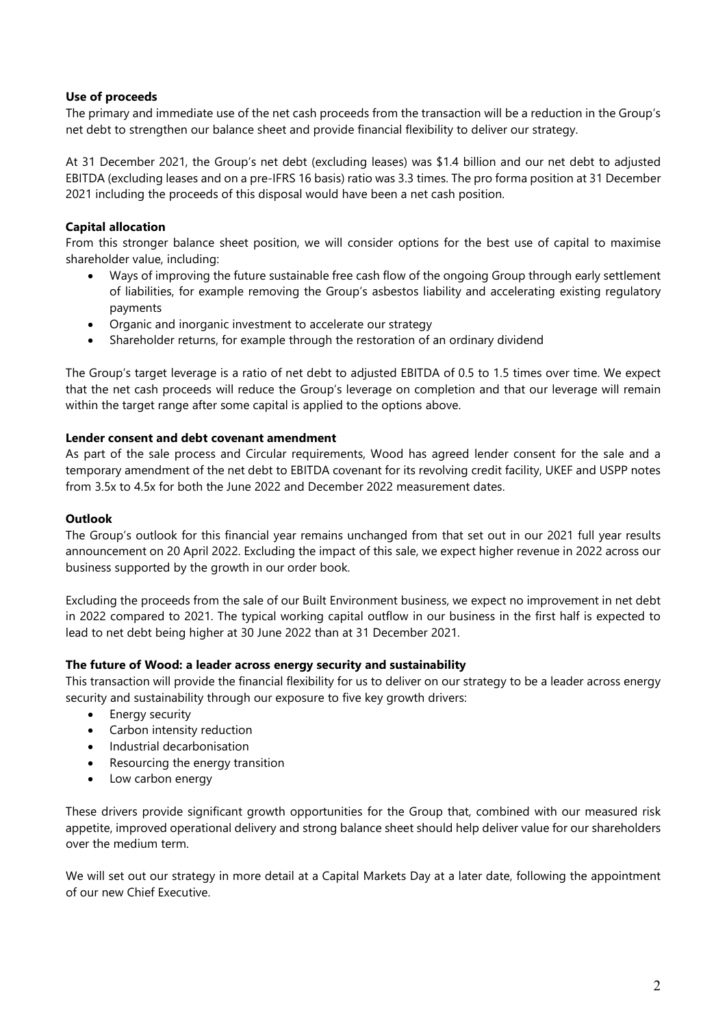# **Use of proceeds**

The primary and immediate use of the net cash proceeds from the transaction will be a reduction in the Group's net debt to strengthen our balance sheet and provide financial flexibility to deliver our strategy.

At 31 December 2021, the Group's net debt (excluding leases) was \$1.4 billion and our net debt to adjusted EBITDA (excluding leases and on a pre-IFRS 16 basis) ratio was 3.3 times. The pro forma position at 31 December 2021 including the proceeds of this disposal would have been a net cash position.

# **Capital allocation**

From this stronger balance sheet position, we will consider options for the best use of capital to maximise shareholder value, including:

- Ways of improving the future sustainable free cash flow of the ongoing Group through early settlement of liabilities, for example removing the Group's asbestos liability and accelerating existing regulatory payments
- Organic and inorganic investment to accelerate our strategy
- Shareholder returns, for example through the restoration of an ordinary dividend

The Group's target leverage is a ratio of net debt to adjusted EBITDA of 0.5 to 1.5 times over time. We expect that the net cash proceeds will reduce the Group's leverage on completion and that our leverage will remain within the target range after some capital is applied to the options above.

## **Lender consent and debt covenant amendment**

As part of the sale process and Circular requirements, Wood has agreed lender consent for the sale and a temporary amendment of the net debt to EBITDA covenant for its revolving credit facility, UKEF and USPP notes from 3.5x to 4.5x for both the June 2022 and December 2022 measurement dates.

## **Outlook**

The Group's outlook for this financial year remains unchanged from that set out in our 2021 full year results announcement on 20 April 2022. Excluding the impact of this sale, we expect higher revenue in 2022 across our business supported by the growth in our order book.

Excluding the proceeds from the sale of our Built Environment business, we expect no improvement in net debt in 2022 compared to 2021. The typical working capital outflow in our business in the first half is expected to lead to net debt being higher at 30 June 2022 than at 31 December 2021.

## **The future of Wood: a leader across energy security and sustainability**

This transaction will provide the financial flexibility for us to deliver on our strategy to be a leader across energy security and sustainability through our exposure to five key growth drivers:

- Energy security
- Carbon intensity reduction
- Industrial decarbonisation
- Resourcing the energy transition
- Low carbon energy

These drivers provide significant growth opportunities for the Group that, combined with our measured risk appetite, improved operational delivery and strong balance sheet should help deliver value for our shareholders over the medium term.

We will set out our strategy in more detail at a Capital Markets Day at a later date, following the appointment of our new Chief Executive.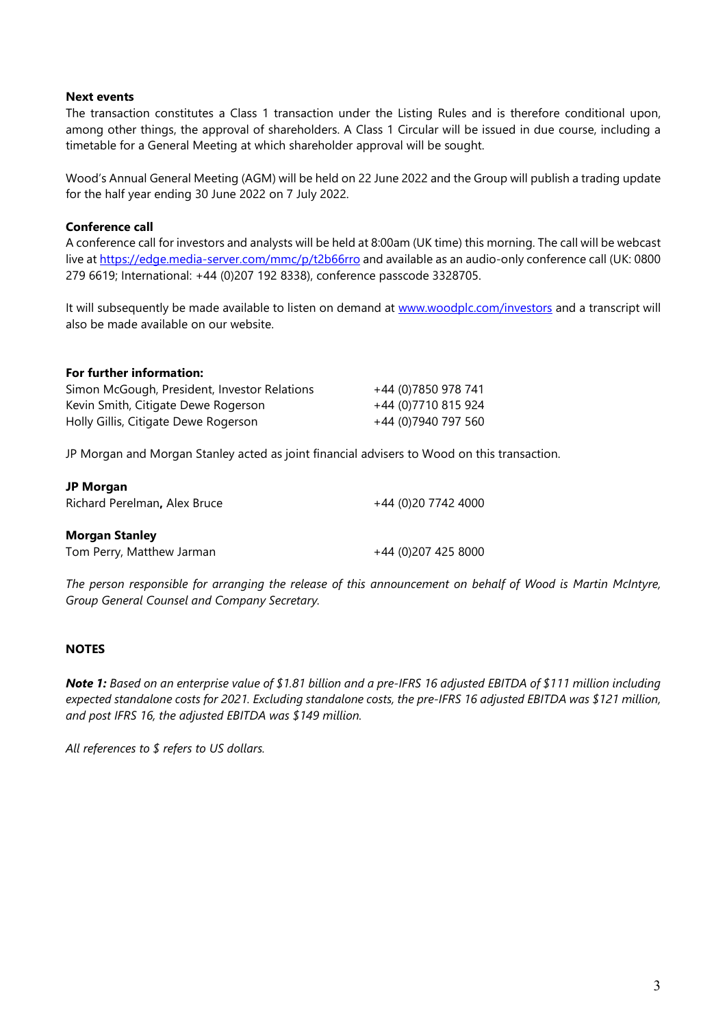## **Next events**

The transaction constitutes a Class 1 transaction under the Listing Rules and is therefore conditional upon, among other things, the approval of shareholders. A Class 1 Circular will be issued in due course, including a timetable for a General Meeting at which shareholder approval will be sought.

Wood's Annual General Meeting (AGM) will be held on 22 June 2022 and the Group will publish a trading update for the half year ending 30 June 2022 on 7 July 2022.

# **Conference call**

A conference call for investors and analysts will be held at 8:00am (UK time) this morning. The call will be webcast live at <https://edge.media-server.com/mmc/p/t2b66rro> and available as an audio-only conference call (UK: 0800 279 6619; International: +44 (0)207 192 8338), conference passcode 3328705.

It will subsequently be made available to listen on demand at [www.woodplc.com/investors](http://www.woodplc.com/investors) and a transcript will also be made available on our website.

#### **For further information:**

| Simon McGough, President, Investor Relations | +44 (0)7850 978 741 |
|----------------------------------------------|---------------------|
| Kevin Smith, Citigate Dewe Rogerson          | +44 (0)7710 815 924 |
| Holly Gillis, Citigate Dewe Rogerson         | +44 (0)7940 797 560 |

JP Morgan and Morgan Stanley acted as joint financial advisers to Wood on this transaction.

#### **JP Morgan**

Richard Perelman**,** Alex Bruce +44 (0)20 7742 4000

## **Morgan Stanley**

Tom Perry, Matthew Jarman +44 (0)207 425 8000

*The person responsible for arranging the release of this announcement on behalf of Wood is Martin McIntyre, Group General Counsel and Company Secretary.*

# **NOTES**

*Note 1: Based on an enterprise value of \$1.81 billion and a pre-IFRS 16 adjusted EBITDA of \$111 million including expected standalone costs for 2021. Excluding standalone costs, the pre-IFRS 16 adjusted EBITDA was \$121 million, and post IFRS 16, the adjusted EBITDA was \$149 million.*

*All references to \$ refers to US dollars.*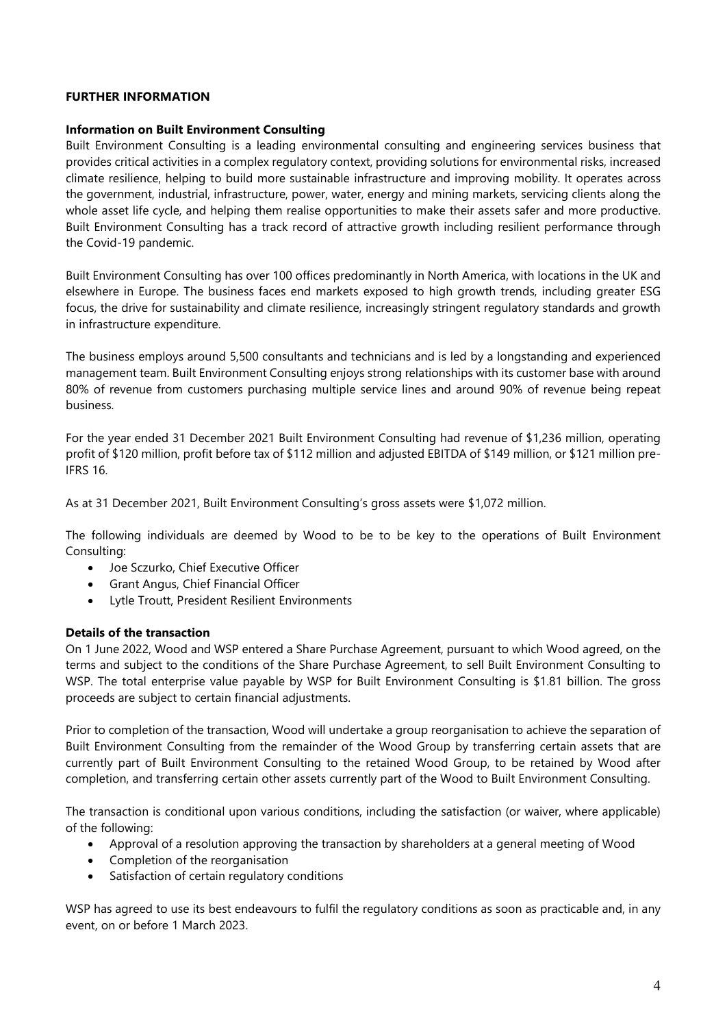## **FURTHER INFORMATION**

## **Information on Built Environment Consulting**

Built Environment Consulting is a leading environmental consulting and engineering services business that provides critical activities in a complex regulatory context, providing solutions for environmental risks, increased climate resilience, helping to build more sustainable infrastructure and improving mobility. It operates across the government, industrial, infrastructure, power, water, energy and mining markets, servicing clients along the whole asset life cycle, and helping them realise opportunities to make their assets safer and more productive. Built Environment Consulting has a track record of attractive growth including resilient performance through the Covid-19 pandemic.

Built Environment Consulting has over 100 offices predominantly in North America, with locations in the UK and elsewhere in Europe. The business faces end markets exposed to high growth trends, including greater ESG focus, the drive for sustainability and climate resilience, increasingly stringent regulatory standards and growth in infrastructure expenditure.

The business employs around 5,500 consultants and technicians and is led by a longstanding and experienced management team. Built Environment Consulting enjoys strong relationships with its customer base with around 80% of revenue from customers purchasing multiple service lines and around 90% of revenue being repeat business.

For the year ended 31 December 2021 Built Environment Consulting had revenue of \$1,236 million, operating profit of \$120 million, profit before tax of \$112 million and adjusted EBITDA of \$149 million, or \$121 million pre-IFRS 16.

As at 31 December 2021, Built Environment Consulting's gross assets were \$1,072 million.

The following individuals are deemed by Wood to be to be key to the operations of Built Environment Consulting:

- Joe Sczurko, Chief Executive Officer
- Grant Angus, Chief Financial Officer
- Lytle Troutt, President Resilient Environments

## **Details of the transaction**

On 1 June 2022, Wood and WSP entered a Share Purchase Agreement, pursuant to which Wood agreed, on the terms and subject to the conditions of the Share Purchase Agreement, to sell Built Environment Consulting to WSP. The total enterprise value payable by WSP for Built Environment Consulting is \$1.81 billion. The gross proceeds are subject to certain financial adjustments.

Prior to completion of the transaction, Wood will undertake a group reorganisation to achieve the separation of Built Environment Consulting from the remainder of the Wood Group by transferring certain assets that are currently part of Built Environment Consulting to the retained Wood Group, to be retained by Wood after completion, and transferring certain other assets currently part of the Wood to Built Environment Consulting.

The transaction is conditional upon various conditions, including the satisfaction (or waiver, where applicable) of the following:

- Approval of a resolution approving the transaction by shareholders at a general meeting of Wood
- Completion of the reorganisation
- Satisfaction of certain regulatory conditions

WSP has agreed to use its best endeavours to fulfil the regulatory conditions as soon as practicable and, in any event, on or before 1 March 2023.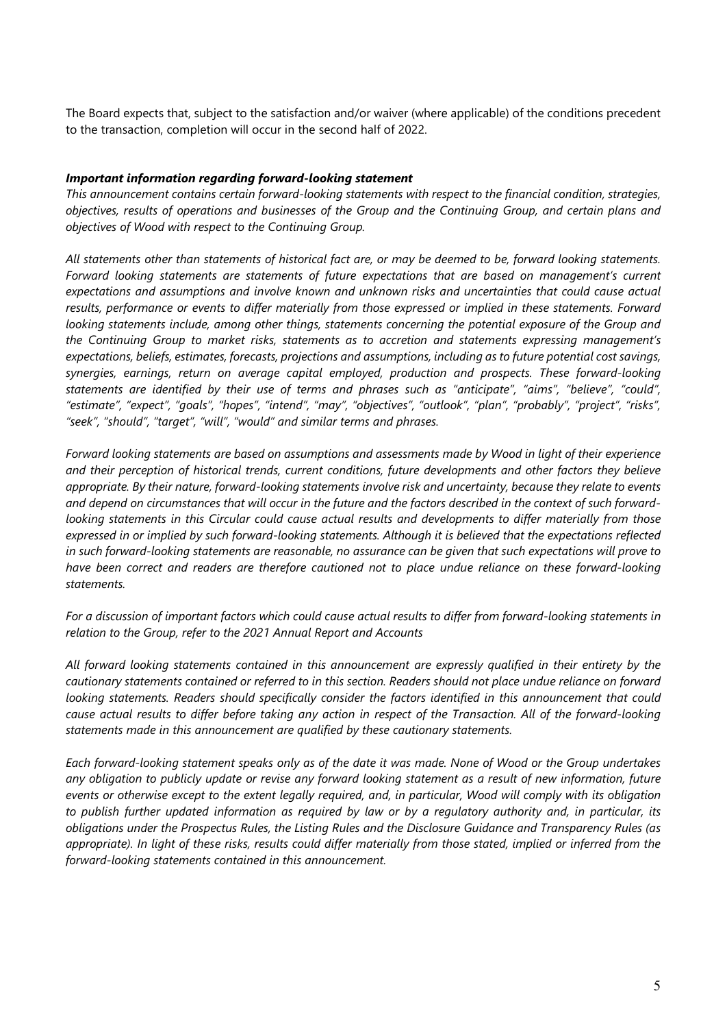The Board expects that, subject to the satisfaction and/or waiver (where applicable) of the conditions precedent to the transaction, completion will occur in the second half of 2022.

# *Important information regarding forward-looking statement*

*This announcement contains certain forward-looking statements with respect to the financial condition, strategies, objectives, results of operations and businesses of the Group and the Continuing Group, and certain plans and objectives of Wood with respect to the Continuing Group.*

*All statements other than statements of historical fact are, or may be deemed to be, forward looking statements. Forward looking statements are statements of future expectations that are based on management's current expectations and assumptions and involve known and unknown risks and uncertainties that could cause actual results, performance or events to differ materially from those expressed or implied in these statements. Forward looking statements include, among other things, statements concerning the potential exposure of the Group and the Continuing Group to market risks, statements as to accretion and statements expressing management's expectations, beliefs, estimates, forecasts, projections and assumptions, including as to future potential cost savings, synergies, earnings, return on average capital employed, production and prospects. These forward-looking statements are identified by their use of terms and phrases such as "anticipate", "aims", "believe", "could", "estimate", "expect", "goals", "hopes", "intend", "may", "objectives", "outlook", "plan", "probably", "project", "risks", "seek", "should", "target", "will", "would" and similar terms and phrases.*

*Forward looking statements are based on assumptions and assessments made by Wood in light of their experience and their perception of historical trends, current conditions, future developments and other factors they believe appropriate. By their nature, forward-looking statements involve risk and uncertainty, because they relate to events and depend on circumstances that will occur in the future and the factors described in the context of such forwardlooking statements in this Circular could cause actual results and developments to differ materially from those expressed in or implied by such forward-looking statements. Although it is believed that the expectations reflected in such forward-looking statements are reasonable, no assurance can be given that such expectations will prove to have been correct and readers are therefore cautioned not to place undue reliance on these forward-looking statements.*

*For a discussion of important factors which could cause actual results to differ from forward-looking statements in relation to the Group, refer to the 2021 Annual Report and Accounts*

*All forward looking statements contained in this announcement are expressly qualified in their entirety by the cautionary statements contained or referred to in this section. Readers should not place undue reliance on forward looking statements. Readers should specifically consider the factors identified in this announcement that could cause actual results to differ before taking any action in respect of the Transaction. All of the forward-looking statements made in this announcement are qualified by these cautionary statements.* 

*Each forward-looking statement speaks only as of the date it was made. None of Wood or the Group undertakes any obligation to publicly update or revise any forward looking statement as a result of new information, future events or otherwise except to the extent legally required, and, in particular, Wood will comply with its obligation to publish further updated information as required by law or by a regulatory authority and, in particular, its obligations under the Prospectus Rules, the Listing Rules and the Disclosure Guidance and Transparency Rules (as appropriate). In light of these risks, results could differ materially from those stated, implied or inferred from the forward-looking statements contained in this announcement.*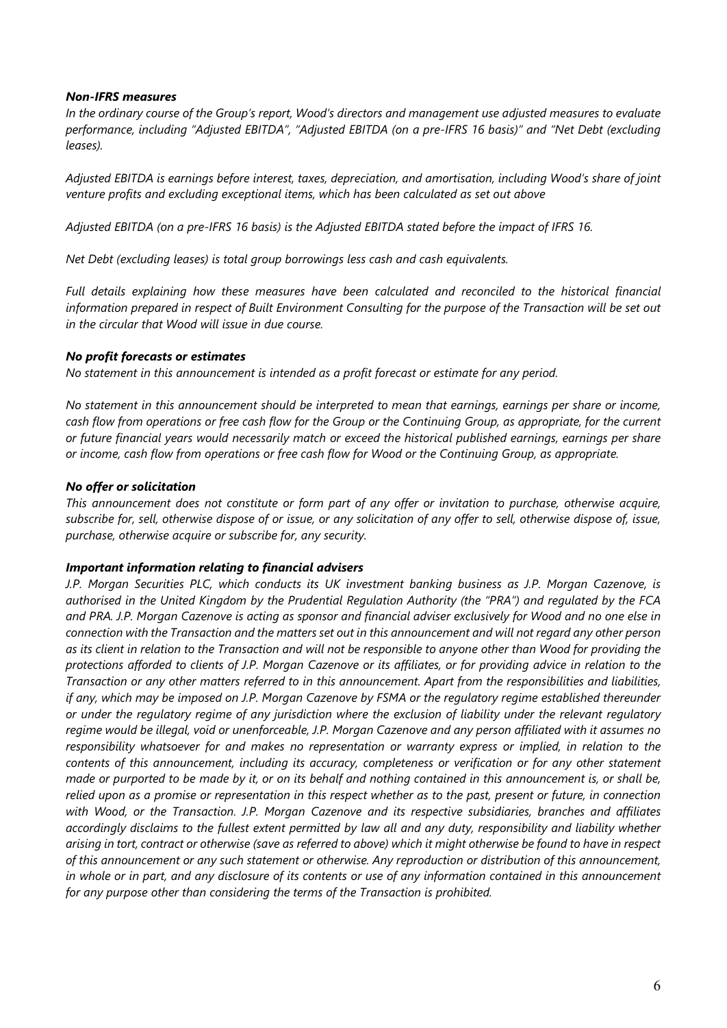## *Non-IFRS measures*

*In the ordinary course of the Group's report, Wood's directors and management use adjusted measures to evaluate performance, including "Adjusted EBITDA", "Adjusted EBITDA (on a pre-IFRS 16 basis)" and "Net Debt (excluding leases).*

*Adjusted EBITDA is earnings before interest, taxes, depreciation, and amortisation, including Wood's share of joint venture profits and excluding exceptional items, which has been calculated as set out above*

*Adjusted EBITDA (on a pre-IFRS 16 basis) is the Adjusted EBITDA stated before the impact of IFRS 16.*

*Net Debt (excluding leases) is total group borrowings less cash and cash equivalents.*

*Full details explaining how these measures have been calculated and reconciled to the historical financial information prepared in respect of Built Environment Consulting for the purpose of the Transaction will be set out in the circular that Wood will issue in due course.*

# *No profit forecasts or estimates*

*No statement in this announcement is intended as a profit forecast or estimate for any period.*

*No statement in this announcement should be interpreted to mean that earnings, earnings per share or income, cash flow from operations or free cash flow for the Group or the Continuing Group, as appropriate, for the current or future financial years would necessarily match or exceed the historical published earnings, earnings per share or income, cash flow from operations or free cash flow for Wood or the Continuing Group, as appropriate.*

# *No offer or solicitation*

*This announcement does not constitute or form part of any offer or invitation to purchase, otherwise acquire, subscribe for, sell, otherwise dispose of or issue, or any solicitation of any offer to sell, otherwise dispose of, issue, purchase, otherwise acquire or subscribe for, any security.*

## *Important information relating to financial advisers*

*J.P. Morgan Securities PLC, which conducts its UK investment banking business as J.P. Morgan Cazenove, is authorised in the United Kingdom by the Prudential Regulation Authority (the "PRA") and regulated by the FCA and PRA. J.P. Morgan Cazenove is acting as sponsor and financial adviser exclusively for Wood and no one else in connection with the Transaction and the matters set out in this announcement and will not regard any other person as its client in relation to the Transaction and will not be responsible to anyone other than Wood for providing the protections afforded to clients of J.P. Morgan Cazenove or its affiliates, or for providing advice in relation to the Transaction or any other matters referred to in this announcement. Apart from the responsibilities and liabilities, if any, which may be imposed on J.P. Morgan Cazenove by FSMA or the regulatory regime established thereunder or under the regulatory regime of any jurisdiction where the exclusion of liability under the relevant regulatory regime would be illegal, void or unenforceable, J.P. Morgan Cazenove and any person affiliated with it assumes no responsibility whatsoever for and makes no representation or warranty express or implied, in relation to the contents of this announcement, including its accuracy, completeness or verification or for any other statement made or purported to be made by it, or on its behalf and nothing contained in this announcement is, or shall be, relied upon as a promise or representation in this respect whether as to the past, present or future, in connection with Wood, or the Transaction. J.P. Morgan Cazenove and its respective subsidiaries, branches and affiliates accordingly disclaims to the fullest extent permitted by law all and any duty, responsibility and liability whether arising in tort, contract or otherwise (save as referred to above) which it might otherwise be found to have in respect of this announcement or any such statement or otherwise. Any reproduction or distribution of this announcement, in whole or in part, and any disclosure of its contents or use of any information contained in this announcement for any purpose other than considering the terms of the Transaction is prohibited.*